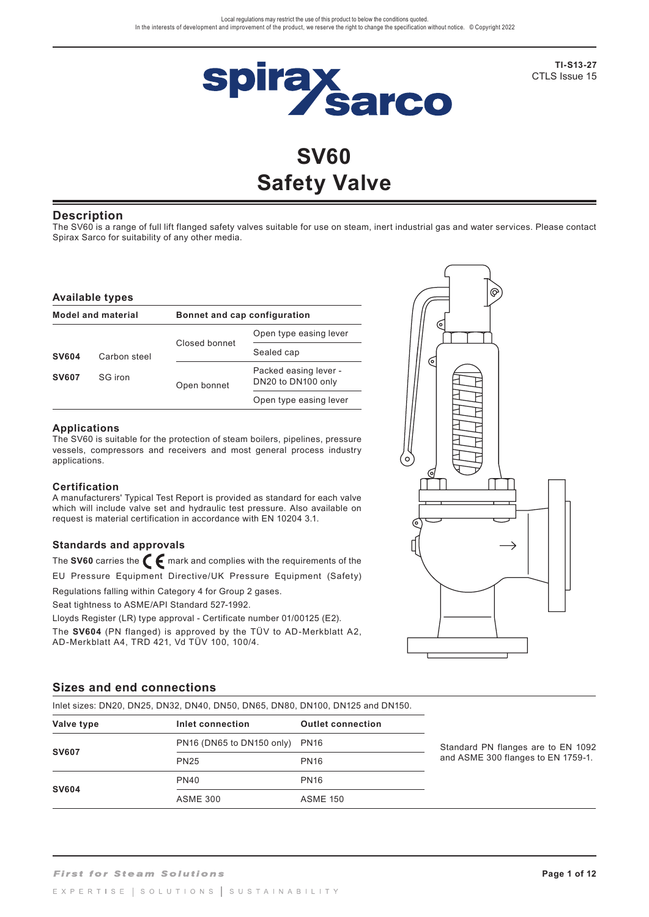

**TI-S13-27** CTLS Issue 15

# **SV60 Safety Valve**

### **Description**

The SV60 is a range of full lift flanged safety valves suitable for use on steam, inert industrial gas and water services. Please contact Spirax Sarco for suitability of any other media.

#### **Available types**

| <b>Model and material</b> |              |               | Bonnet and cap configuration                |  |  |  |
|---------------------------|--------------|---------------|---------------------------------------------|--|--|--|
|                           |              |               | Open type easing lever                      |  |  |  |
| <b>SV604</b>              | Carbon steel | Closed bonnet | Sealed cap                                  |  |  |  |
| <b>SV607</b>              | SG iron      | Open bonnet   | Packed easing lever -<br>DN20 to DN100 only |  |  |  |
|                           |              |               | Open type easing lever                      |  |  |  |

#### **Applications**

The SV60 is suitable for the protection of steam boilers, pipelines, pressure vessels, compressors and receivers and most general process industry applications.

#### **Certification**

A manufacturers' Typical Test Report is provided as standard for each valve which will include valve set and hydraulic test pressure. Also available on request is material certification in accordance with EN 10204 3.1.

### **Standards and approvals**

The SV60 carries the **C** mark and complies with the requirements of the EU Pressure Equipment Directive/UK Pressure Equipment (Safety)

Regulations falling within Category 4 for Group 2 gases.

Seat tightness to ASME/API Standard 527-1992.

Lloyds Register (LR) type approval - Certificate number 01/00125 (E2). The **SV604** (PN flanged) is approved by the TÜV to AD-Merkblatt A2, AD-Merkblatt A4, TRD 421, Vd TÜV 100, 100/4.



#### **Sizes and end connections**

Inlet sizes: DN20, DN25, DN32, DN40, DN50, DN65, DN80, DN100, DN125 and DN150.

| Valve type   | Inlet connection               | <b>Outlet connection</b> |        |
|--------------|--------------------------------|--------------------------|--------|
|              | PN16 (DN65 to DN150 only) PN16 |                          | Standa |
| <b>SV607</b> | <b>PN25</b>                    | <b>PN16</b>              | and A  |
|              | <b>PN40</b>                    | <b>PN16</b>              |        |
| <b>SV604</b> | <b>ASME 300</b>                | <b>ASME 150</b>          |        |

ard PN flanges are to EN 1092 SME 300 flanges to EN 1759-1.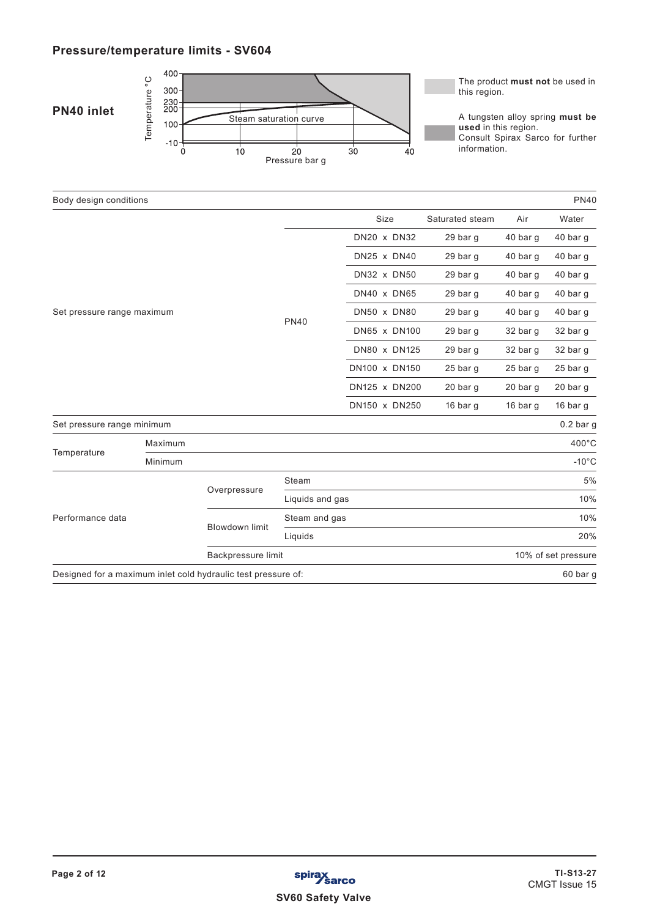# **Pressure/temperature limits - SV604**



| Body design conditions                                        |         |                       |                 |                    |                 |                     | <b>PN40</b>     |
|---------------------------------------------------------------|---------|-----------------------|-----------------|--------------------|-----------------|---------------------|-----------------|
|                                                               |         |                       |                 | Size               | Saturated steam | Air                 | Water           |
|                                                               |         |                       |                 | DN20 x DN32        | 29 bar g        | 40 bar g            | 40 bar g        |
|                                                               |         |                       |                 | DN25 x DN40        | 29 bar g        | 40 bar q            | 40 bar g        |
|                                                               |         |                       |                 | <b>DN32 x DN50</b> | 29 bar g        | 40 bar g            | 40 bar g        |
|                                                               |         |                       |                 | DN40 x DN65        | 29 bar g        | 40 bar q            | 40 bar g        |
| Set pressure range maximum                                    |         |                       |                 | DN50 x DN80        | 29 bar g        | 40 bar q            | 40 bar g        |
|                                                               |         |                       | <b>PN40</b>     | DN65 x DN100       | 29 bar g        | 32 bar g            | 32 bar g        |
|                                                               |         |                       |                 | DN80 x DN125       | 29 bar g        | 32 bar g            | 32 bar g        |
|                                                               |         |                       |                 | DN100 x DN150      | 25 bar g        | $25$ bar g          | 25 bar g        |
|                                                               |         |                       |                 | DN125 x DN200      | 20 bar g        | 20 bar g            | 20 bar g        |
|                                                               |         |                       |                 | DN150 x DN250      | 16 bar $q$      | 16 bar $q$          | 16 bar g        |
| Set pressure range minimum                                    |         |                       |                 |                    |                 |                     | $0.2$ bar g     |
|                                                               | Maximum |                       |                 |                    |                 |                     | 400°C           |
| Temperature                                                   | Minimum |                       |                 |                    |                 |                     | $-10^{\circ}$ C |
|                                                               |         |                       | Steam           |                    |                 |                     | 5%              |
|                                                               |         | Overpressure          | Liquids and gas |                    |                 |                     | 10%             |
| Performance data                                              |         |                       | Steam and gas   |                    |                 |                     | 10%             |
|                                                               |         | <b>Blowdown limit</b> | Liquids         |                    |                 |                     | 20%             |
|                                                               |         | Backpressure limit    |                 |                    |                 | 10% of set pressure |                 |
| Designed for a maximum inlet cold hydraulic test pressure of: |         |                       |                 |                    |                 |                     | 60 bar g        |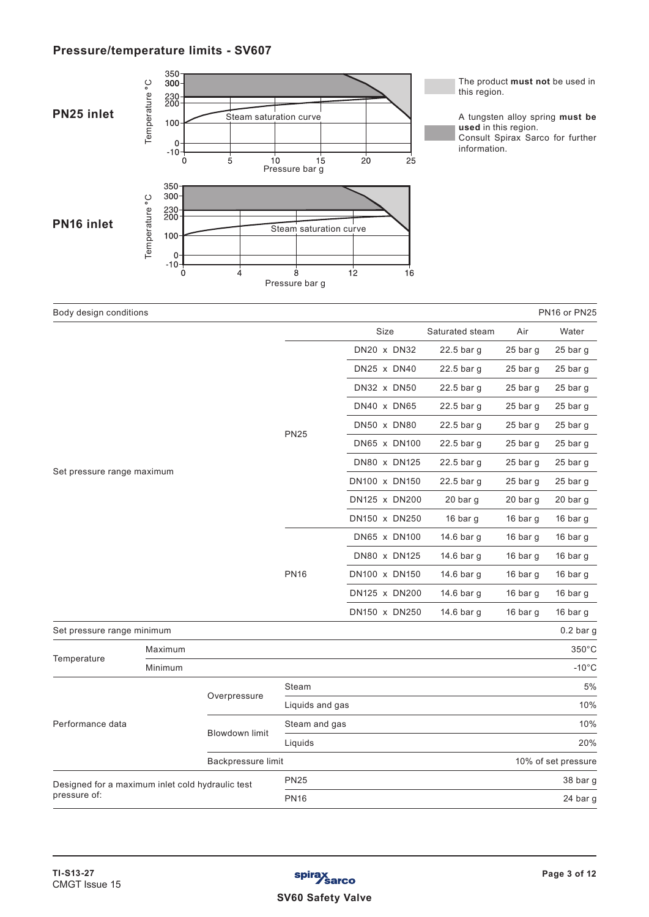### **Pressure/temperature limits - SV607**



|                                                  | Maximum |                       |                 | JJU U               |
|--------------------------------------------------|---------|-----------------------|-----------------|---------------------|
| Temperature                                      | Minimum |                       |                 | $-10^{\circ}$ C     |
|                                                  |         |                       | Steam           | 5%                  |
|                                                  |         | Overpressure          | Liquids and gas | 10%                 |
| Performance data                                 |         | <b>Blowdown limit</b> | Steam and gas   | 10%                 |
|                                                  |         |                       | Liquids         | 20%                 |
|                                                  |         | Backpressure limit    |                 | 10% of set pressure |
| Designed for a maximum inlet cold hydraulic test |         |                       | <b>PN25</b>     | 38 bar g            |
| pressure of:                                     |         |                       | <b>PN16</b>     | 24 bar g            |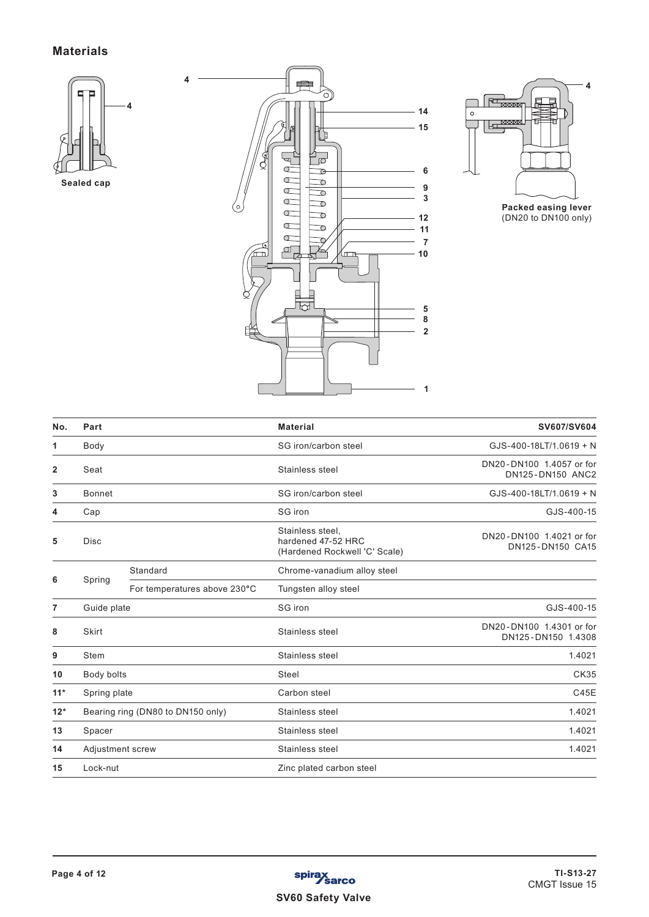### **Materials**







**Packed easing lever** (DN20 to DN100 only)

| No.   | Part          |                                   | <b>Material</b>                                                         | SV607/SV604                                    |
|-------|---------------|-----------------------------------|-------------------------------------------------------------------------|------------------------------------------------|
| 1     | Body          |                                   | SG iron/carbon steel                                                    | GJS-400-18LT/1.0619 + N                        |
| 2     | Seat          |                                   | Stainless steel                                                         | DN20-DN100 1.4057 or for<br>DN125-DN150 ANC2   |
| 3     | <b>Bonnet</b> |                                   | SG iron/carbon steel                                                    | GJS-400-18LT/1.0619 + N                        |
| 4     | Cap           |                                   | SG iron                                                                 | GJS-400-15                                     |
| 5     | <b>Disc</b>   |                                   | Stainless steel,<br>hardened 47-52 HRC<br>(Hardened Rockwell 'C' Scale) | DN20-DN100 1.4021 or for<br>DN125-DN150 CA15   |
|       |               | Standard                          | Chrome-vanadium alloy steel                                             |                                                |
| 6     | Spring        | For temperatures above 230°C      | Tungsten alloy steel                                                    |                                                |
| 7     | Guide plate   |                                   | SG iron                                                                 | GJS-400-15                                     |
| 8     | <b>Skirt</b>  |                                   | Stainless steel                                                         | DN20-DN100 1.4301 or for<br>DN125-DN150 1.4308 |
| 9     | Stem          |                                   | Stainless steel                                                         | 1.4021                                         |
| 10    | Body bolts    |                                   | Steel                                                                   | <b>CK35</b>                                    |
| $11*$ | Spring plate  |                                   | Carbon steel                                                            | C45E                                           |
| $12*$ |               | Bearing ring (DN80 to DN150 only) | Stainless steel                                                         | 1.4021                                         |
| 13    | Spacer        |                                   | Stainless steel                                                         | 1.4021                                         |
| 14    |               | Adjustment screw                  | Stainless steel                                                         | 1.4021                                         |
| 15    | Lock-nut      |                                   | Zinc plated carbon steel                                                |                                                |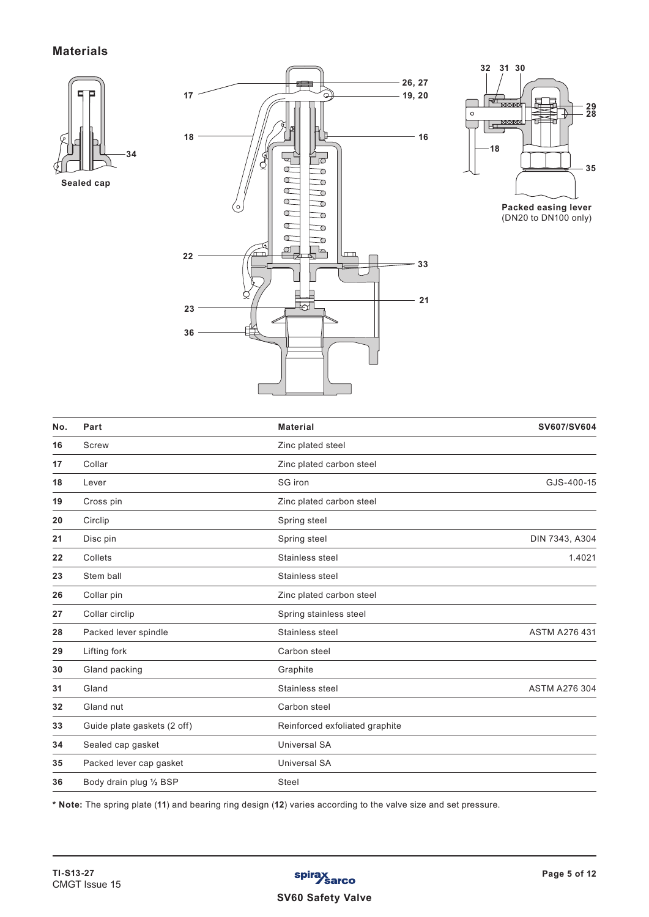### **Materials**



**Sealed cap**





| No. | Part                        | <b>Material</b>                | SV607/SV604          |
|-----|-----------------------------|--------------------------------|----------------------|
| 16  | Screw                       | Zinc plated steel              |                      |
| 17  | Collar                      | Zinc plated carbon steel       |                      |
| 18  | Lever                       | SG iron                        | GJS-400-15           |
| 19  | Cross pin                   | Zinc plated carbon steel       |                      |
| 20  | Circlip                     | Spring steel                   |                      |
| 21  | Disc pin                    | Spring steel                   | DIN 7343, A304       |
| 22  | Collets                     | Stainless steel                | 1.4021               |
| 23  | Stem ball                   | Stainless steel                |                      |
| 26  | Collar pin                  | Zinc plated carbon steel       |                      |
| 27  | Collar circlip              | Spring stainless steel         |                      |
| 28  | Packed lever spindle        | Stainless steel                | <b>ASTM A276 431</b> |
| 29  | Lifting fork                | Carbon steel                   |                      |
| 30  | Gland packing               | Graphite                       |                      |
| 31  | Gland                       | Stainless steel                | <b>ASTM A276 304</b> |
| 32  | Gland nut                   | Carbon steel                   |                      |
| 33  | Guide plate gaskets (2 off) | Reinforced exfoliated graphite |                      |
| 34  | Sealed cap gasket           | <b>Universal SA</b>            |                      |
| 35  | Packed lever cap gasket     | <b>Universal SA</b>            |                      |
| 36  | Body drain plug 1/2 BSP     | Steel                          |                      |
|     |                             |                                |                      |

**\* Note:** The spring plate (**11**) and bearing ring design (**12**) varies according to the valve size and set pressure.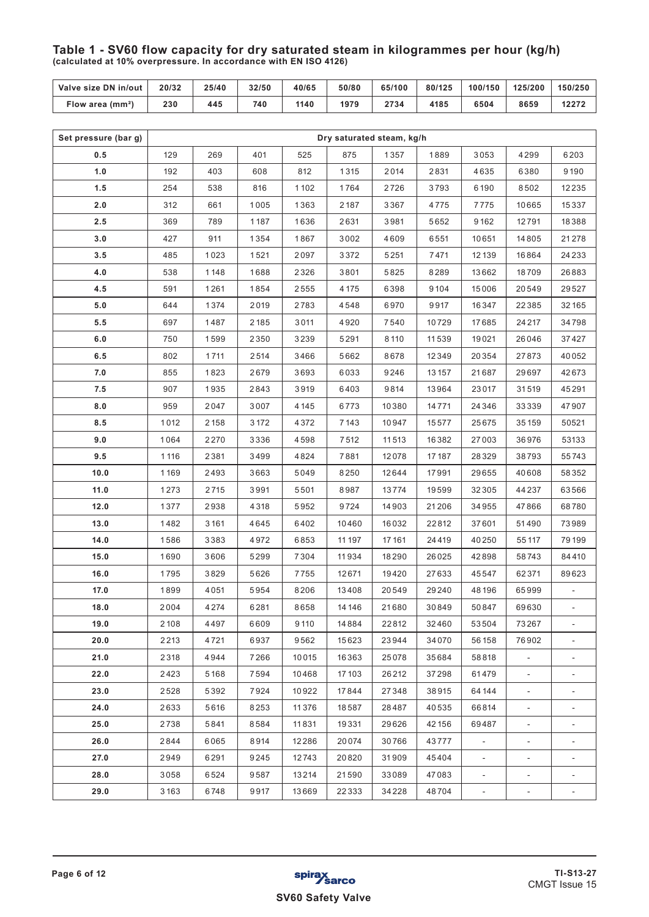**Table 1 - SV60 flow capacity for dry saturated steam in kilogrammes per hour (kg/h) (calculated at 10% overpressure. In accordance with EN ISO 4126)**

| Valve size DN in/out | 20/32 | 25/40 | 32/50 | 40/65 | 50/80 | 65/100 | 80/125 | 100/150 | 125/200 | 150/250 |
|----------------------|-------|-------|-------|-------|-------|--------|--------|---------|---------|---------|
| Flow area $(mm2)$    | 230   | 445   | 740   | 1140  | 1979  | 2734   | 4185   | 6504    | 8659    | 12272   |

| Set pressure (bar g) |      |      |         |          |         | Dry saturated steam, kg/h |        |                              |                |                          |
|----------------------|------|------|---------|----------|---------|---------------------------|--------|------------------------------|----------------|--------------------------|
| 0.5                  | 129  | 269  | 401     | 525      | 875     | 1357                      | 1889   | 3053                         | 4299           | 6203                     |
| 1.0                  | 192  | 403  | 608     | 812      | 1315    | 2014                      | 2831   | 4635                         | 6380           | 9190                     |
| 1.5                  | 254  | 538  | 816     | 1102     | 1764    | 2726                      | 3793   | 6190                         | 8502           | 12235                    |
| 2.0                  | 312  | 661  | 1005    | 1363     | 2187    | 3367                      | 4775   | 7775                         | 10665          | 15337                    |
| 2.5                  | 369  | 789  | 1187    | 1636     | 2631    | 3981                      | 5652   | 9162                         | 12791          | 18388                    |
| 3.0                  | 427  | 911  | 1354    | 1867     | 3002    | 4609                      | 6551   | 10651                        | 14805          | 21278                    |
| 3.5                  | 485  | 1023 | 1521    | 2097     | 3372    | 5251                      | 7471   | 12139                        | 16864          | 24 2 3 3                 |
| 4.0                  | 538  | 1148 | 1688    | 2326     | 3801    | 5825                      | 8289   | 13662                        | 18709          | 26883                    |
| 4.5                  | 591  | 1261 | 1854    | 2555     | 4175    | 6398                      | 9104   | 15006                        | 20549          | 29527                    |
| 5.0                  | 644  | 1374 | 2019    | 2783     | 4548    | 6970                      | 9917   | 16347                        | 22385          | 32165                    |
| 5.5                  | 697  | 1487 | 2185    | 3011     | 4920    | 7540                      | 10729  | 17685                        | 24 2 1 7       | 34798                    |
| 6.0                  | 750  | 1599 | 2350    | 3239     | 5291    | 8110                      | 11539  | 19021                        | 26046          | 37427                    |
| 6.5                  | 802  | 1711 | 2514    | 3466     | 5662    | 8678                      | 12349  | 20354                        | 27873          | 40052                    |
| 7.0                  | 855  | 1823 | 2679    | 3693     | 6033    | 9246                      | 13 157 | 21687                        | 29697          | 42673                    |
| 7.5                  | 907  | 1935 | 2843    | 3919     | 6403    | 9814                      | 13964  | 23017                        | 31519          | 45291                    |
| 8.0                  | 959  | 2047 | 3007    | 4 1 4 5  | 6773    | 10380                     | 14771  | 24346                        | 33339          | 47907                    |
| 8.5                  | 1012 | 2158 | 3 1 7 2 | 4372     | 7143    | 10947                     | 15577  | 25675                        | 35159          | 50521                    |
| 9.0                  | 1064 | 2270 | 3336    | 4598     | 7512    | 11513                     | 16382  | 27003                        | 36976          | 53133                    |
| 9.5                  | 1116 | 2381 | 3499    | 4824     | 7881    | 12078                     | 17187  | 28329                        | 38793          | 55743                    |
| 10.0                 | 1169 | 2493 | 3663    | 5049     | 8250    | 12644                     | 17991  | 29655                        | 40608          | 58352                    |
| 11.0                 | 1273 | 2715 | 3991    | 5501     | 8987    | 13774                     | 19599  | 32305                        | 44237          | 63566                    |
| 12.0                 | 1377 | 2938 | 4318    | 5952     | 9724    | 14903                     | 21206  | 34955                        | 47866          | 68780                    |
| 13.0                 | 1482 | 3161 | 4645    | 6402     | 10460   | 16032                     | 22812  | 37601                        | 51490          | 73989                    |
| 14.0                 | 1586 | 3383 | 4972    | 6853     | 11 197  | 17161                     | 24419  | 40250                        | 55117          | 79199                    |
| 15.0                 | 1690 | 3606 | 5299    | 7304     | 11934   | 18290                     | 26025  | 42898                        | 58743          | 84410                    |
| 16.0                 | 1795 | 3829 | 5626    | 7755     | 12671   | 19420                     | 27633  | 45547                        | 62371          | 89623                    |
| 17.0                 | 1899 | 4051 | 5954    | 8206     | 13408   | 20549                     | 29240  | 48196                        | 65999          |                          |
| 18.0                 | 2004 | 4274 | 6281    | 8658     | 14 14 6 | 21680                     | 30849  | 50847                        | 69630          | $\blacksquare$           |
| 19.0                 | 2108 | 4497 | 6609    | 9110     | 14884   | 22812                     | 32460  | 53504                        | 73267          |                          |
| 20.0                 | 2213 | 4721 | 6937    | 9562     | 15623   | 23944                     | 34070  | 56158                        | 76902          |                          |
| 21.0                 | 2318 | 4944 | 7266    | 10015    | 16363   | 25078                     | 35684  | 58818                        | $\blacksquare$ | $\overline{\phantom{a}}$ |
| 22.0                 | 2423 | 5168 | 7594    | 10468    | 17 103  | 26212                     | 37298  | 61479                        |                |                          |
| 23.0                 | 2528 | 5392 | 7924    | 10922    | 17844   | 27348                     | 38915  | 64 144                       | $\blacksquare$ | $\overline{\phantom{a}}$ |
| 24.0                 | 2633 | 5616 | 8253    | 11 3 7 6 | 18587   | 28487                     | 40535  | 66814                        | $\blacksquare$ |                          |
| 25.0                 | 2738 | 5841 | 8584    | 11831    | 19331   | 29626                     | 42156  | 69487                        | $\blacksquare$ | $\overline{\phantom{a}}$ |
| 26.0                 | 2844 | 6065 | 8914    | 12286    | 20074   | 30766                     | 43777  | $\qquad \qquad \blacksquare$ | $\blacksquare$ |                          |
| 27.0                 | 2949 | 6291 | 9245    | 12743    | 20820   | 31909                     | 45404  | $\blacksquare$               |                |                          |
| 28.0                 | 3058 | 6524 | 9587    | 13214    | 21590   | 33089                     | 47083  | $\blacksquare$               | $\blacksquare$ |                          |
| 29.0                 | 3163 | 6748 | 9917    | 13669    | 22333   | 34228                     | 48704  |                              |                |                          |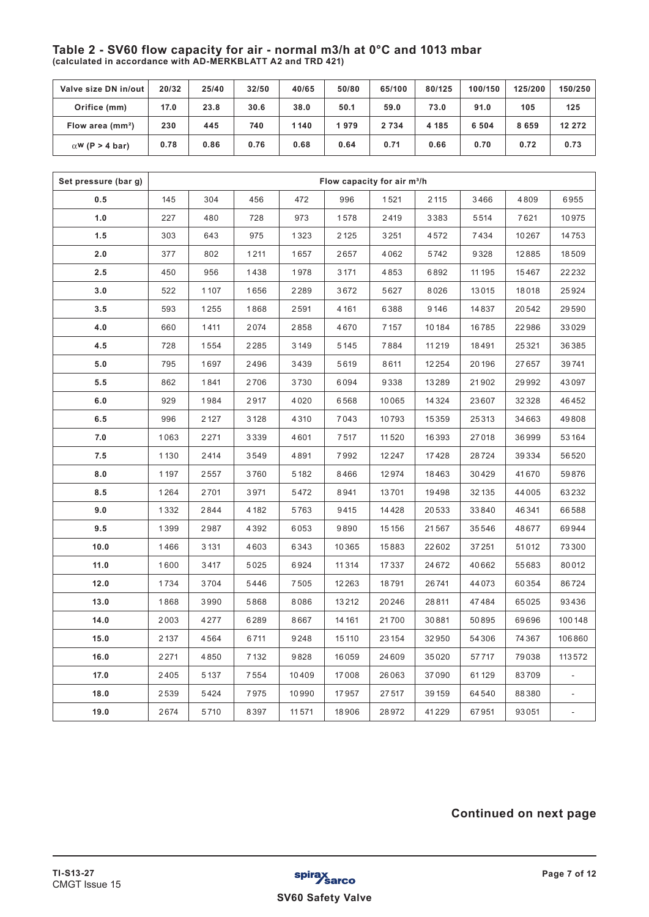### **Table 2 - SV60 flow capacity for air - normal m3/h at 0°C and 1013 mbar (calculated in accordance with AD-MERKBLATT A2 and TRD 421)**

| Valve size DN in/out   | 20/32 | 25/40 | 32/50 | 40/65 | 50/80 | 65/100  | 80/125 | 100/150 | 125/200 | 150/250 |
|------------------------|-------|-------|-------|-------|-------|---------|--------|---------|---------|---------|
| Orifice (mm)           | 17.0  | 23.8  | 30.6  | 38.0  | 50.1  | 59.0    | 73.0   | 91.0    | 105     | 125     |
| Flow area $(mm2)$      | 230   | 445   | 740   | 1140  | 1979  | 2 7 3 4 | 4 185  | 6 5 0 4 | 8659    | 12 272  |
| $\alpha$ W (P > 4 bar) | 0.78  | 0.86  | 0.76  | 0.68  | 0.64  | 0.71    | 0.66   | 0.70    | 0.72    | 0.73    |

| Set pressure (bar g) |      | Flow capacity for air m <sup>3</sup> /h |      |       |         |       |         |        |       |        |  |
|----------------------|------|-----------------------------------------|------|-------|---------|-------|---------|--------|-------|--------|--|
| 0.5                  | 145  | 304                                     | 456  | 472   | 996     | 1521  | 2 1 1 5 | 3466   | 4809  | 6955   |  |
| 1.0                  | 227  | 480                                     | 728  | 973   | 1578    | 2419  | 3383    | 5514   | 7621  | 10975  |  |
| 1.5                  | 303  | 643                                     | 975  | 1323  | 2125    | 3251  | 4572    | 7434   | 10267 | 14753  |  |
| 2.0                  | 377  | 802                                     | 1211 | 1657  | 2657    | 4062  | 5742    | 9328   | 12885 | 18509  |  |
| 2.5                  | 450  | 956                                     | 1438 | 1978  | 3171    | 4853  | 6892    | 11 195 | 15467 | 22232  |  |
| 3.0                  | 522  | 1107                                    | 1656 | 2289  | 3672    | 5627  | 8026    | 13015  | 18018 | 25924  |  |
| 3.5                  | 593  | 1255                                    | 1868 | 2591  | 4 1 6 1 | 6388  | 9146    | 14837  | 20542 | 29590  |  |
| 4.0                  | 660  | 1411                                    | 2074 | 2858  | 4670    | 7157  | 10184   | 16785  | 22986 | 33029  |  |
| 4.5                  | 728  | 1554                                    | 2285 | 3149  | 5145    | 7884  | 11219   | 18491  | 25321 | 36385  |  |
| 5.0                  | 795  | 1697                                    | 2496 | 3439  | 5619    | 8611  | 12254   | 20196  | 27657 | 39741  |  |
| 5.5                  | 862  | 1841                                    | 2706 | 3730  | 6094    | 9338  | 13289   | 21902  | 29992 | 43097  |  |
| 6.0                  | 929  | 1984                                    | 2917 | 4020  | 6568    | 10065 | 14324   | 23607  | 32328 | 46452  |  |
| 6.5                  | 996  | 2 1 2 7                                 | 3128 | 4310  | 7043    | 10793 | 15359   | 25313  | 34663 | 49808  |  |
| 7.0                  | 1063 | 2271                                    | 3339 | 4601  | 7517    | 11520 | 16393   | 27018  | 36999 | 53164  |  |
| 7.5                  | 1130 | 2414                                    | 3549 | 4891  | 7992    | 12247 | 17428   | 28724  | 39334 | 56520  |  |
| 8.0                  | 1197 | 2557                                    | 3760 | 5182  | 8466    | 12974 | 18463   | 30429  | 41670 | 59876  |  |
| 8.5                  | 1264 | 2701                                    | 3971 | 5472  | 8941    | 13701 | 19498   | 32 135 | 44005 | 63232  |  |
| 9.0                  | 1332 | 2844                                    | 4182 | 5763  | 9415    | 14428 | 20533   | 33840  | 46341 | 66588  |  |
| 9.5                  | 1399 | 2987                                    | 4392 | 6053  | 9890    | 15156 | 21567   | 35546  | 48677 | 69944  |  |
| 10.0                 | 1466 | 3131                                    | 4603 | 6343  | 10365   | 15883 | 22602   | 37251  | 51012 | 73300  |  |
| 11.0                 | 1600 | 3417                                    | 5025 | 6924  | 11314   | 17337 | 24672   | 40662  | 55683 | 80012  |  |
| 12.0                 | 1734 | 3704                                    | 5446 | 7505  | 12263   | 18791 | 26741   | 44073  | 60354 | 86724  |  |
| 13.0                 | 1868 | 3990                                    | 5868 | 8086  | 13212   | 20246 | 28811   | 47484  | 65025 | 93436  |  |
| 14.0                 | 2003 | 4277                                    | 6289 | 8667  | 14 16 1 | 21700 | 30881   | 50895  | 69696 | 100148 |  |
| 15.0                 | 2137 | 4564                                    | 6711 | 9248  | 15110   | 23154 | 32950   | 54306  | 74367 | 106860 |  |
| 16.0                 | 2271 | 4850                                    | 7132 | 9828  | 16059   | 24609 | 35020   | 57717  | 79038 | 113572 |  |
| 17.0                 | 2405 | 5137                                    | 7554 | 10409 | 17008   | 26063 | 37090   | 61129  | 83709 |        |  |
| 18.0                 | 2539 | 5424                                    | 7975 | 10990 | 17957   | 27517 | 39159   | 64540  | 88380 |        |  |
| 19.0                 | 2674 | 5710                                    | 8397 | 11571 | 18906   | 28972 | 41229   | 67951  | 93051 |        |  |

# **Continued on next page**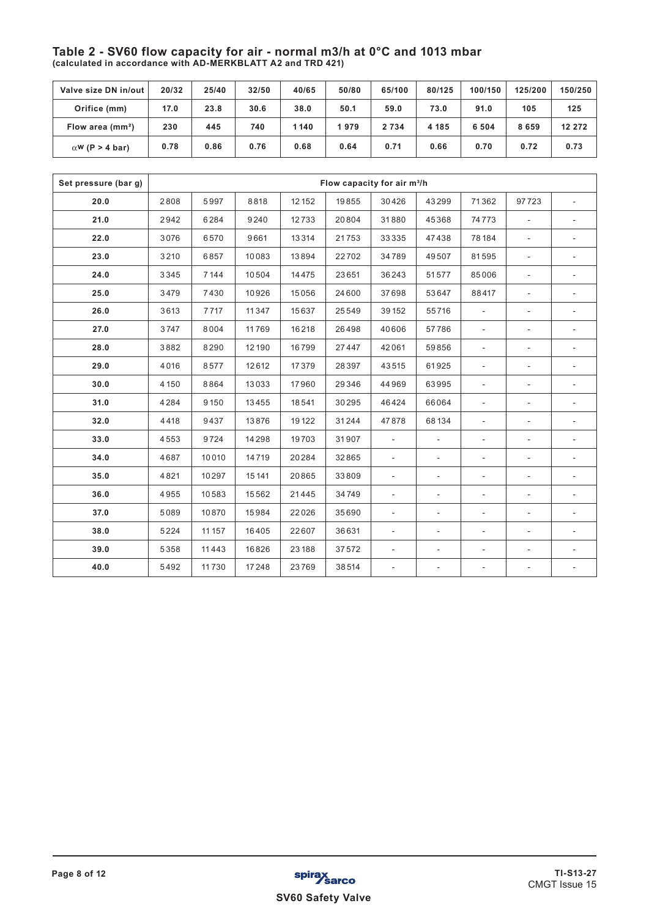### **Table 2 - SV60 flow capacity for air - normal m3/h at 0°C and 1013 mbar (calculated in accordance with AD-MERKBLATT A2 and TRD 421)**

| Valve size DN in/out   | 20/32 | 25/40 | 32/50 | 40/65 | 50/80 | 65/100  | 80/125 | 100/150 | 125/200 | 150/250 |
|------------------------|-------|-------|-------|-------|-------|---------|--------|---------|---------|---------|
| Orifice (mm)           | 17.0  | 23.8  | 30.6  | 38.0  | 50.1  | 59.0    | 73.0   | 91.0    | 105     | 125     |
| Flow area $(mm2)$      | 230   | 445   | 740   | 1140  | 1979  | 2 7 3 4 | 4 185  | 6504    | 8659    | 12 27 2 |
| $\alpha$ W (P > 4 bar) | 0.78  | 0.86  | 0.76  | 0.68  | 0.64  | 0.71    | 0.66   | 0.70    | 0.72    | 0.73    |

| Set pressure (bar q) |         | Flow capacity for air m <sup>3</sup> /h |        |       |       |                |                          |                          |                          |                          |
|----------------------|---------|-----------------------------------------|--------|-------|-------|----------------|--------------------------|--------------------------|--------------------------|--------------------------|
| 20.0                 | 2808    | 5997                                    | 8818   | 12152 | 19855 | 30426          | 43299                    | 71362                    | 97723                    |                          |
| 21.0                 | 2942    | 6284                                    | 9240   | 12733 | 20804 | 31880          | 45368                    | 74773                    | $\blacksquare$           | $\overline{\phantom{a}}$ |
| 22.0                 | 3076    | 6570                                    | 9661   | 13314 | 21753 | 33335          | 47438                    | 78184                    | $\blacksquare$           |                          |
| 23.0                 | 3210    | 6857                                    | 10083  | 13894 | 22702 | 34789          | 49507                    | 81595                    | $\overline{\phantom{a}}$ |                          |
| 24.0                 | 3345    | 7144                                    | 10504  | 14475 | 23651 | 36243          | 51577                    | 85006                    | $\overline{\phantom{a}}$ | $\overline{\phantom{a}}$ |
| 25.0                 | 3479    | 7430                                    | 10926  | 15056 | 24600 | 37698          | 53647                    | 88417                    | $\blacksquare$           |                          |
| 26.0                 | 3613    | 7717                                    | 11347  | 15637 | 25549 | 39152          | 55716                    | $\blacksquare$           | $\overline{\phantom{a}}$ | $\overline{\phantom{a}}$ |
| 27.0                 | 3747    | 8004                                    | 11769  | 16218 | 26498 | 40606          | 57786                    | $\overline{\phantom{a}}$ | ÷.                       |                          |
| 28.0                 | 3882    | 8290                                    | 12 190 | 16799 | 27447 | 42061          | 59856                    | $\blacksquare$           | $\overline{\phantom{a}}$ | $\overline{\phantom{a}}$ |
| 29.0                 | 4016    | 8577                                    | 12612  | 17379 | 28397 | 43515          | 61925                    | $\overline{\phantom{a}}$ | $\overline{\phantom{a}}$ |                          |
| 30.0                 | 4 1 5 0 | 8864                                    | 13033  | 17960 | 29346 | 44969          | 63995                    | ٠                        | $\overline{\phantom{0}}$ |                          |
| 31.0                 | 4284    | 9150                                    | 13455  | 18541 | 30295 | 46424          | 66064                    | $\blacksquare$           | $\blacksquare$           | $\blacksquare$           |
| 32.0                 | 4418    | 9437                                    | 13876  | 19122 | 31244 | 47878          | 68134                    | ÷,                       | ÷,                       |                          |
| 33.0                 | 4553    | 9724                                    | 14298  | 19703 | 31907 | $\blacksquare$ | $\blacksquare$           | $\overline{\phantom{a}}$ | $\overline{\phantom{0}}$ |                          |
| 34.0                 | 4687    | 10010                                   | 14719  | 20284 | 32865 | $\blacksquare$ | $\blacksquare$           | $\overline{\phantom{a}}$ | $\blacksquare$           | $\overline{\phantom{a}}$ |
| 35.0                 | 4821    | 10297                                   | 15141  | 20865 | 33809 | $\blacksquare$ | $\overline{\phantom{a}}$ | ۰                        | $\overline{\phantom{0}}$ |                          |
| 36.0                 | 4955    | 10583                                   | 15562  | 21445 | 34749 | $\sim$         | $\blacksquare$           | $\overline{\phantom{a}}$ | ä,                       |                          |
| 37.0                 | 5089    | 10870                                   | 15984  | 22026 | 35690 | $\blacksquare$ | ÷,                       | ä,                       | ÷.                       |                          |
| 38.0                 | 5224    | 11 157                                  | 16405  | 22607 | 36631 | $\blacksquare$ | $\overline{\phantom{a}}$ | ٠                        | $\overline{\phantom{0}}$ |                          |
| 39.0                 | 5358    | 11443                                   | 16826  | 23188 | 37572 | $\blacksquare$ | $\blacksquare$           | $\overline{\phantom{a}}$ | $\blacksquare$           | $\blacksquare$           |
| 40.0                 | 5492    | 11730                                   | 17248  | 23769 | 38514 | $\blacksquare$ |                          | ۰                        | ä,                       |                          |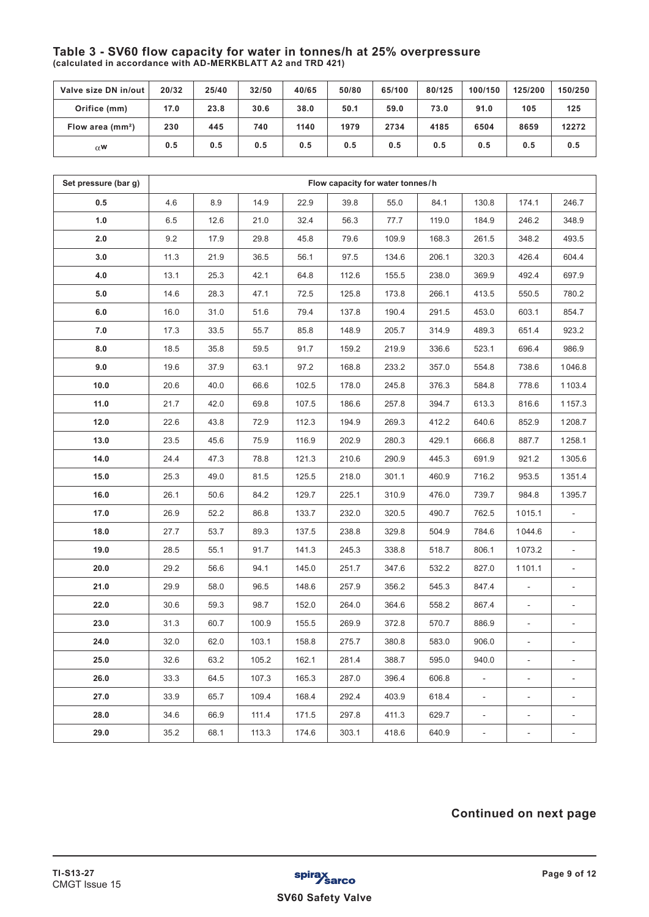### **Table 3 - SV60 flow capacity for water in tonnes/h at 25% overpressure (calculated in accordance with AD-MERKBLATT A2 and TRD 421)**

| Valve size DN in/out | 20/32 | 25/40 | 32/50 | 40/65 | 50/80 | 65/100 | 80/125 | 100/150 | 125/200 | 150/250 |
|----------------------|-------|-------|-------|-------|-------|--------|--------|---------|---------|---------|
| Orifice (mm)         | 17.0  | 23.8  | 30.6  | 38.0  | 50.1  | 59.0   | 73.0   | 91.0    | 105     | 125     |
| Flow area $(mm2)$    | 230   | 445   | 740   | 1140  | 1979  | 2734   | 4185   | 6504    | 8659    | 12272   |
| $\alpha$ W           | 0.5   | 0.5   | 0.5   | 0.5   | 0.5   | 0.5    | 0.5    | 0.5     | 0.5     | 0.5     |

| Set pressure (bar g) | Flow capacity for water tonnes/h |      |       |       |       |       |       |                |                          |        |
|----------------------|----------------------------------|------|-------|-------|-------|-------|-------|----------------|--------------------------|--------|
| 0.5                  | 4.6                              | 8.9  | 14.9  | 22.9  | 39.8  | 55.0  | 84.1  | 130.8          | 174.1                    | 246.7  |
| 1.0                  | 6.5                              | 12.6 | 21.0  | 32.4  | 56.3  | 77.7  | 119.0 | 184.9          | 246.2                    | 348.9  |
| 2.0                  | 9.2                              | 17.9 | 29.8  | 45.8  | 79.6  | 109.9 | 168.3 | 261.5          | 348.2                    | 493.5  |
| 3.0                  | 11.3                             | 21.9 | 36.5  | 56.1  | 97.5  | 134.6 | 206.1 | 320.3          | 426.4                    | 604.4  |
| 4.0                  | 13.1                             | 25.3 | 42.1  | 64.8  | 112.6 | 155.5 | 238.0 | 369.9          | 492.4                    | 697.9  |
| 5.0                  | 14.6                             | 28.3 | 47.1  | 72.5  | 125.8 | 173.8 | 266.1 | 413.5          | 550.5                    | 780.2  |
| 6.0                  | 16.0                             | 31.0 | 51.6  | 79.4  | 137.8 | 190.4 | 291.5 | 453.0          | 603.1                    | 854.7  |
| 7.0                  | 17.3                             | 33.5 | 55.7  | 85.8  | 148.9 | 205.7 | 314.9 | 489.3          | 651.4                    | 923.2  |
| 8.0                  | 18.5                             | 35.8 | 59.5  | 91.7  | 159.2 | 219.9 | 336.6 | 523.1          | 696.4                    | 986.9  |
| 9.0                  | 19.6                             | 37.9 | 63.1  | 97.2  | 168.8 | 233.2 | 357.0 | 554.8          | 738.6                    | 1046.8 |
| 10.0                 | 20.6                             | 40.0 | 66.6  | 102.5 | 178.0 | 245.8 | 376.3 | 584.8          | 778.6                    | 1103.4 |
| 11.0                 | 21.7                             | 42.0 | 69.8  | 107.5 | 186.6 | 257.8 | 394.7 | 613.3          | 816.6                    | 1157.3 |
| 12.0                 | 22.6                             | 43.8 | 72.9  | 112.3 | 194.9 | 269.3 | 412.2 | 640.6          | 852.9                    | 1208.7 |
| 13.0                 | 23.5                             | 45.6 | 75.9  | 116.9 | 202.9 | 280.3 | 429.1 | 666.8          | 887.7                    | 1258.1 |
| 14.0                 | 24.4                             | 47.3 | 78.8  | 121.3 | 210.6 | 290.9 | 445.3 | 691.9          | 921.2                    | 1305.6 |
| 15.0                 | 25.3                             | 49.0 | 81.5  | 125.5 | 218.0 | 301.1 | 460.9 | 716.2          | 953.5                    | 1351.4 |
| 16.0                 | 26.1                             | 50.6 | 84.2  | 129.7 | 225.1 | 310.9 | 476.0 | 739.7          | 984.8                    | 1395.7 |
| 17.0                 | 26.9                             | 52.2 | 86.8  | 133.7 | 232.0 | 320.5 | 490.7 | 762.5          | 1015.1                   |        |
| 18.0                 | 27.7                             | 53.7 | 89.3  | 137.5 | 238.8 | 329.8 | 504.9 | 784.6          | 1044.6                   | ÷,     |
| 19.0                 | 28.5                             | 55.1 | 91.7  | 141.3 | 245.3 | 338.8 | 518.7 | 806.1          | 1073.2                   |        |
| 20.0                 | 29.2                             | 56.6 | 94.1  | 145.0 | 251.7 | 347.6 | 532.2 | 827.0          | 1101.1                   |        |
| 21.0                 | 29.9                             | 58.0 | 96.5  | 148.6 | 257.9 | 356.2 | 545.3 | 847.4          | ä,                       | ÷,     |
| 22.0                 | 30.6                             | 59.3 | 98.7  | 152.0 | 264.0 | 364.6 | 558.2 | 867.4          |                          |        |
| 23.0                 | 31.3                             | 60.7 | 100.9 | 155.5 | 269.9 | 372.8 | 570.7 | 886.9          | $\blacksquare$           | ÷      |
| 24.0                 | 32.0                             | 62.0 | 103.1 | 158.8 | 275.7 | 380.8 | 583.0 | 906.0          | $\Box$                   |        |
| 25.0                 | 32.6                             | 63.2 | 105.2 | 162.1 | 281.4 | 388.7 | 595.0 | 940.0          |                          |        |
| 26.0                 | 33.3                             | 64.5 | 107.3 | 165.3 | 287.0 | 396.4 | 606.8 | $\blacksquare$ | $\blacksquare$           |        |
| 27.0                 | 33.9                             | 65.7 | 109.4 | 168.4 | 292.4 | 403.9 | 618.4 |                |                          |        |
| 28.0                 | 34.6                             | 66.9 | 111.4 | 171.5 | 297.8 | 411.3 | 629.7 | ÷,             | $\overline{\phantom{a}}$ |        |
| 29.0                 | 35.2                             | 68.1 | 113.3 | 174.6 | 303.1 | 418.6 | 640.9 | ä,             | ä,                       |        |

# **Continued on next page**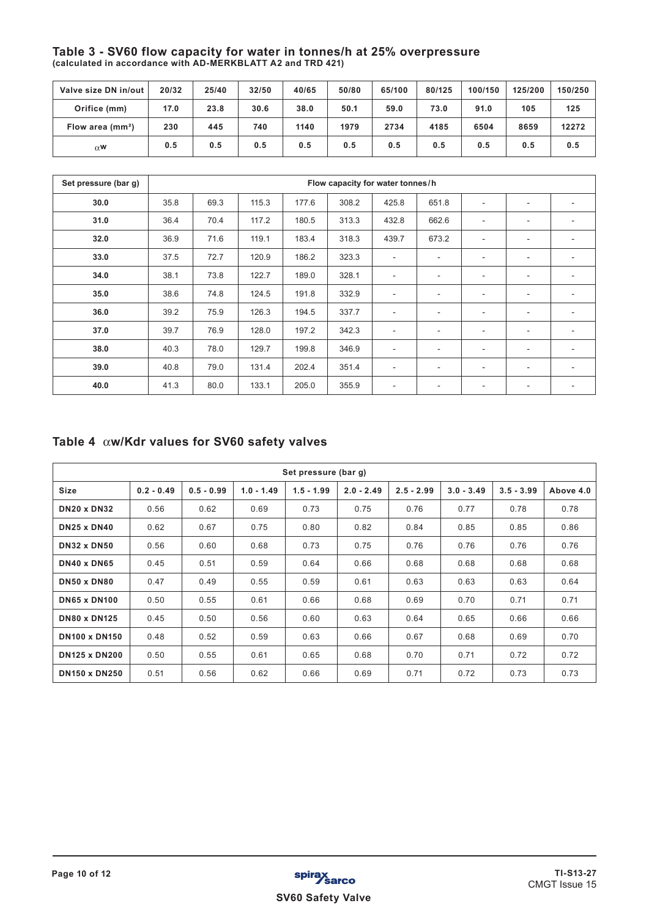### **Table 3 - SV60 flow capacity for water in tonnes/h at 25% overpressure (calculated in accordance with AD-MERKBLATT A2 and TRD 421)**

| Valve size DN in/out | 20/32 | 25/40 | 32/50 | 40/65 | 50/80 | 65/100 | 80/125 | 100/150 | 125/200 | 150/250 |
|----------------------|-------|-------|-------|-------|-------|--------|--------|---------|---------|---------|
| Orifice (mm)         | 17.0  | 23.8  | 30.6  | 38.0  | 50.1  | 59.0   | 73.0   | 91.0    | 105     | 125     |
| Flow area $(mm2)$    | 230   | 445   | 740   | 1140  | 1979  | 2734   | 4185   | 6504    | 8659    | 12272   |
| $\alpha$ W           | 0.5   | 0.5   | 0.5   | 0.5   | 0.5   | 0.5    | 0.5    | 0.5     | 0.5     | 0.5     |

| Set pressure (bar g) |      |      |       |       | Flow capacity for water tonnes/h |                          |                          |                          |                          |                          |
|----------------------|------|------|-------|-------|----------------------------------|--------------------------|--------------------------|--------------------------|--------------------------|--------------------------|
| 30.0                 | 35.8 | 69.3 | 115.3 | 177.6 | 308.2                            | 425.8                    | 651.8                    | $\overline{\phantom{a}}$ | $\overline{\phantom{a}}$ | $\overline{\phantom{a}}$ |
| 31.0                 | 36.4 | 70.4 | 117.2 | 180.5 | 313.3                            | 432.8                    | 662.6                    | $\overline{\phantom{a}}$ | ٠                        | $\overline{\phantom{a}}$ |
| 32.0                 | 36.9 | 71.6 | 119.1 | 183.4 | 318.3                            | 439.7                    | 673.2                    | $\overline{\phantom{a}}$ | ٠                        |                          |
| 33.0                 | 37.5 | 72.7 | 120.9 | 186.2 | 323.3                            | $\overline{\phantom{a}}$ | ٠.                       | $\overline{\phantom{a}}$ | ٠                        | $\overline{\phantom{a}}$ |
| 34.0                 | 38.1 | 73.8 | 122.7 | 189.0 | 328.1                            | $\blacksquare$           | $\overline{\phantom{0}}$ | $\sim$                   | $\overline{\phantom{a}}$ |                          |
| 35.0                 | 38.6 | 74.8 | 124.5 | 191.8 | 332.9                            | $\overline{\phantom{a}}$ | $\overline{\phantom{a}}$ | $\overline{\phantom{a}}$ | ٠                        | $\overline{\phantom{a}}$ |
| 36.0                 | 39.2 | 75.9 | 126.3 | 194.5 | 337.7                            | $\overline{\phantom{a}}$ | $\overline{\phantom{0}}$ | $\overline{\phantom{a}}$ | $\overline{\phantom{a}}$ | $\overline{\phantom{a}}$ |
| 37.0                 | 39.7 | 76.9 | 128.0 | 197.2 | 342.3                            | $\overline{\phantom{a}}$ | $\overline{\phantom{0}}$ | ٠                        | ٠                        | $\overline{\phantom{a}}$ |
| 38.0                 | 40.3 | 78.0 | 129.7 | 199.8 | 346.9                            | $\overline{\phantom{a}}$ | $\overline{\phantom{a}}$ | ٠                        | ٠                        |                          |
| 39.0                 | 40.8 | 79.0 | 131.4 | 202.4 | 351.4                            | $\overline{\phantom{a}}$ | $\overline{\phantom{0}}$ | $\overline{\phantom{a}}$ | ٠                        |                          |
| 40.0                 | 41.3 | 80.0 | 133.1 | 205.0 | 355.9                            | $\overline{\phantom{a}}$ | ۰                        | $\overline{\phantom{a}}$ | ٠                        | $\overline{\phantom{a}}$ |

# **Table 4 w/Kdr values for SV60 safety valves**

| Set pressure (bar g) |              |              |              |              |              |              |              |              |           |  |  |
|----------------------|--------------|--------------|--------------|--------------|--------------|--------------|--------------|--------------|-----------|--|--|
| <b>Size</b>          | $0.2 - 0.49$ | $0.5 - 0.99$ | $1.0 - 1.49$ | $1.5 - 1.99$ | $2.0 - 2.49$ | $2.5 - 2.99$ | $3.0 - 3.49$ | $3.5 - 3.99$ | Above 4.0 |  |  |
| <b>DN20 x DN32</b>   | 0.56         | 0.62         | 0.69         | 0.73         | 0.75         | 0.76         | 0.77         | 0.78         | 0.78      |  |  |
| <b>DN25 x DN40</b>   | 0.62         | 0.67         | 0.75         | 0.80         | 0.82         | 0.84         | 0.85         | 0.85         | 0.86      |  |  |
| <b>DN32 x DN50</b>   | 0.56         | 0.60         | 0.68         | 0.73         | 0.75         | 0.76         | 0.76         | 0.76         | 0.76      |  |  |
| <b>DN40 x DN65</b>   | 0.45         | 0.51         | 0.59         | 0.64         | 0.66         | 0.68         | 0.68         | 0.68         | 0.68      |  |  |
| <b>DN50 x DN80</b>   | 0.47         | 0.49         | 0.55         | 0.59         | 0.61         | 0.63         | 0.63         | 0.63         | 0.64      |  |  |
| <b>DN65 x DN100</b>  | 0.50         | 0.55         | 0.61         | 0.66         | 0.68         | 0.69         | 0.70         | 0.71         | 0.71      |  |  |
| <b>DN80 x DN125</b>  | 0.45         | 0.50         | 0.56         | 0.60         | 0.63         | 0.64         | 0.65         | 0.66         | 0.66      |  |  |
| <b>DN100 x DN150</b> | 0.48         | 0.52         | 0.59         | 0.63         | 0.66         | 0.67         | 0.68         | 0.69         | 0.70      |  |  |
| <b>DN125 x DN200</b> | 0.50         | 0.55         | 0.61         | 0.65         | 0.68         | 0.70         | 0.71         | 0.72         | 0.72      |  |  |
| <b>DN150 x DN250</b> | 0.51         | 0.56         | 0.62         | 0.66         | 0.69         | 0.71         | 0.72         | 0.73         | 0.73      |  |  |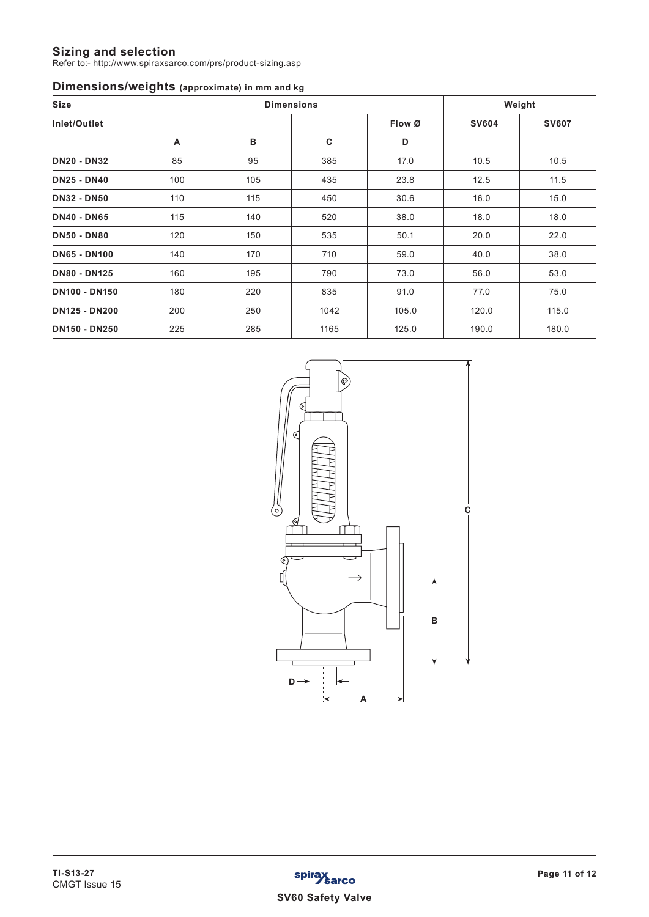### **Sizing and selection**

Refer to:- http://www.spiraxsarco.com/prs/product-sizing.asp

## **Dimensions/weights (approximate) in mm and kg**

| Size                 |     |     | <b>Dimensions</b> |        |              | Weight       |
|----------------------|-----|-----|-------------------|--------|--------------|--------------|
| Inlet/Outlet         |     |     |                   | Flow Ø | <b>SV604</b> | <b>SV607</b> |
|                      | Α   | в   | C                 | D      |              |              |
| <b>DN20 - DN32</b>   | 85  | 95  | 385               | 17.0   | 10.5         | 10.5         |
| <b>DN25 - DN40</b>   | 100 | 105 | 435               | 23.8   | 12.5         | 11.5         |
| <b>DN32 - DN50</b>   | 110 | 115 | 450               | 30.6   | 16.0         | 15.0         |
| <b>DN40 - DN65</b>   | 115 | 140 | 520               | 38.0   | 18.0         | 18.0         |
| <b>DN50 - DN80</b>   | 120 | 150 | 535               | 50.1   | 20.0         | 22.0         |
| <b>DN65 - DN100</b>  | 140 | 170 | 710               | 59.0   | 40.0         | 38.0         |
| <b>DN80 - DN125</b>  | 160 | 195 | 790               | 73.0   | 56.0         | 53.0         |
| <b>DN100 - DN150</b> | 180 | 220 | 835               | 91.0   | 77.0         | 75.0         |
| <b>DN125 - DN200</b> | 200 | 250 | 1042              | 105.0  | 120.0        | 115.0        |
| <b>DN150 - DN250</b> | 225 | 285 | 1165              | 125.0  | 190.0        | 180.0        |